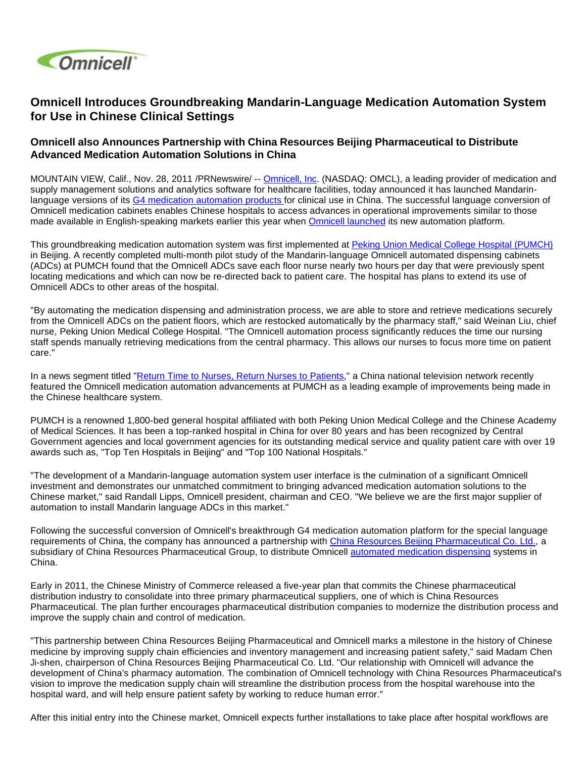

## **Omnicell Introduces Groundbreaking Mandarin-Language Medication Automation System for Use in Chinese Clinical Settings**

## **Omnicell also Announces Partnership with China Resources Beijing Pharmaceutical to Distribute Advanced Medication Automation Solutions in China**

MOUNTAIN VIEW, Calif., Nov. 28, 2011 /PRNewswire/ -- [Omnicell, Inc.](http://www.omnicell.com/) (NASDAQ: OMCL), a leading provider of medication and supply management solutions and analytics software for healthcare facilities, today announced it has launched Mandarinlanguage versions of its [G4 medication automation products f](http://www.omnicell.com/Products/Medication_Dispensing.aspx)or clinical use in China. The successful language conversion of Omnicell medication cabinets enables Chinese hospitals to access advances in operational improvements similar to those made available in English-speaking markets earlier this year when [Omnicell launched](http://www.omnicell.com/en/News_and_Events/Press_Releases/Omnicell_Unveils_Largest_Ever_Medication_and_Supply_Automation_Product_Launch.aspx) its new automation platform.

This groundbreaking medication automation system was first implemented at [Peking Union Medical College Hospital \(PUMCH\)](http://english.pumch.cn/Default.aspx?alias=english.pumch.cn/english) in Beijing. A recently completed multi-month pilot study of the Mandarin-language Omnicell automated dispensing cabinets (ADCs) at PUMCH found that the Omnicell ADCs save each floor nurse nearly two hours per day that were previously spent locating medications and which can now be re-directed back to patient care. The hospital has plans to extend its use of Omnicell ADCs to other areas of the hospital.

"By automating the medication dispensing and administration process, we are able to store and retrieve medications securely from the Omnicell ADCs on the patient floors, which are restocked automatically by the pharmacy staff," said Weinan Liu, chief nurse, Peking Union Medical College Hospital. "The Omnicell automation process significantly reduces the time our nursing staff spends manually retrieving medications from the central pharmacy. This allows our nurses to focus more time on patient care."

In a news segment titled "[Return Time to Nurses, Return Nurses to Patients](http://link.brightcove.com/services/player/bcpid625505166001?bckey=AQ~~,AAAAkVHR4Nk~,ggJBhGjiKUq974R9FYodDesi4p34lFWk&bctid=1290065870001)," a China national television network recently featured the Omnicell medication automation advancements at PUMCH as a leading example of improvements being made in the Chinese healthcare system.

PUMCH is a renowned 1,800-bed general hospital affiliated with both Peking Union Medical College and the Chinese Academy of Medical Sciences. It has been a top-ranked hospital in China for over 80 years and has been recognized by Central Government agencies and local government agencies for its outstanding medical service and quality patient care with over 19 awards such as, "Top Ten Hospitals in Beijing" and "Top 100 National Hospitals."

"The development of a Mandarin-language automation system user interface is the culmination of a significant Omnicell investment and demonstrates our unmatched commitment to bringing advanced medication automation solutions to the Chinese market," said Randall Lipps, Omnicell president, chairman and CEO. "We believe we are the first major supplier of automation to install Mandarin language ADCs in this market."

Following the successful conversion of Omnicell's breakthrough G4 medication automation platform for the special language requirements of China, the company has announced a partnership with [China Resources Beijing Pharmaceutical Co. Ltd.,](http://www.bjpharmacy.com/en/index.aspx) a subsidiary of China Resources Pharmaceutical Group, to distribute Omnicell [automated medication dispensing](http://www.omnicell.com/Products/Medication_Dispensing/Automated_Medication_Dispensing_Cabinets.aspx) systems in China.

Early in 2011, the Chinese Ministry of Commerce released a five-year plan that commits the Chinese pharmaceutical distribution industry to consolidate into three primary pharmaceutical suppliers, one of which is China Resources Pharmaceutical. The plan further encourages pharmaceutical distribution companies to modernize the distribution process and improve the supply chain and control of medication.

"This partnership between China Resources Beijing Pharmaceutical and Omnicell marks a milestone in the history of Chinese medicine by improving supply chain efficiencies and inventory management and increasing patient safety," said Madam Chen Ji-shen, chairperson of China Resources Beijing Pharmaceutical Co. Ltd. "Our relationship with Omnicell will advance the development of China's pharmacy automation. The combination of Omnicell technology with China Resources Pharmaceutical's vision to improve the medication supply chain will streamline the distribution process from the hospital warehouse into the hospital ward, and will help ensure patient safety by working to reduce human error."

After this initial entry into the Chinese market, Omnicell expects further installations to take place after hospital workflows are